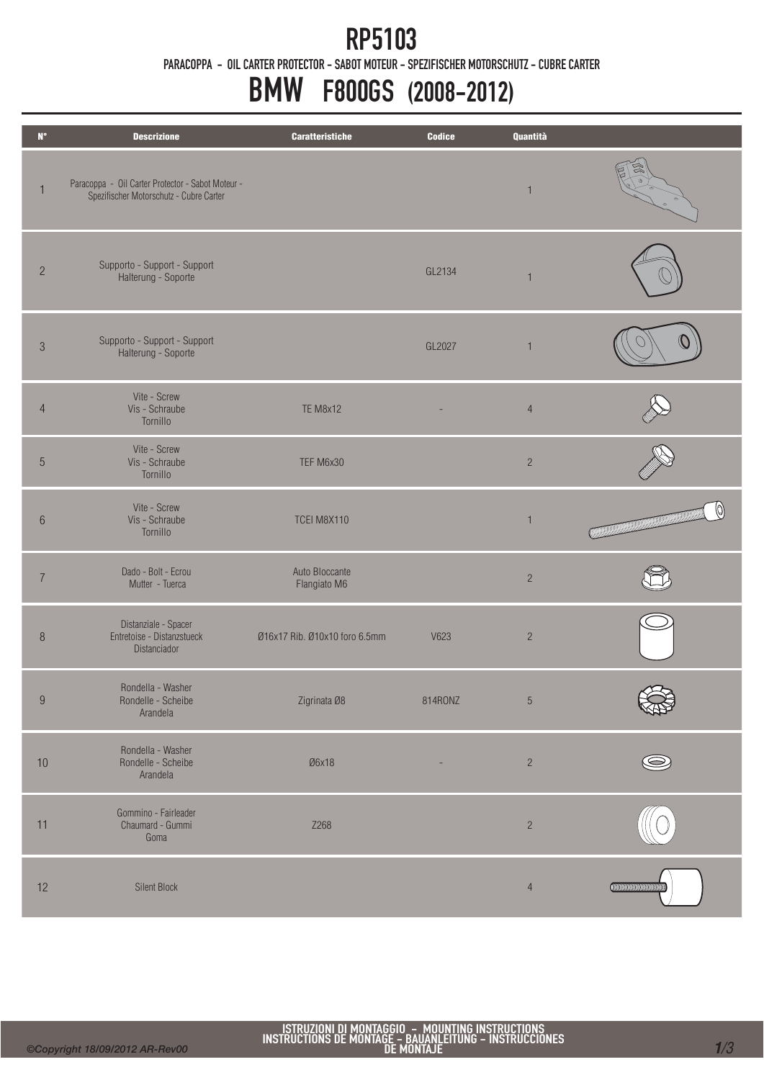### RP5103

PARACOPPA - OIL CARTER PROTECTOR - SABOT MOTEUR - SPEZIFISCHER MOTORSCHUTZ - CUBRE CARTER

# BMW F800GS (2008-2012)

| $\mathsf{N}^\circ$ | <b>Descrizione</b>                                                                           | <b>Caratteristiche</b>         | Codice  | Quantità       |                                                                                 |
|--------------------|----------------------------------------------------------------------------------------------|--------------------------------|---------|----------------|---------------------------------------------------------------------------------|
| $\mathbf{1}$       | Paracoppa - Oil Carter Protector - Sabot Moteur -<br>Spezifischer Motorschutz - Cubre Carter |                                |         | $\overline{1}$ |                                                                                 |
| $\overline{c}$     | Supporto - Support - Support<br>Halterung - Soporte                                          |                                | GL2134  | $\overline{1}$ |                                                                                 |
| $\sqrt{3}$         | Supporto - Support - Support<br>Halterung - Soporte                                          |                                | GL2027  | $\overline{1}$ |                                                                                 |
| $\overline{4}$     | Vite - Screw<br>Vis - Schraube<br>Tornillo                                                   | <b>TE M8x12</b>                |         | $\overline{4}$ |                                                                                 |
| $\overline{5}$     | Vite - Screw<br>Vis - Schraube<br>Tornillo                                                   | TEF M6x30                      |         | $\sqrt{2}$     |                                                                                 |
| $6\,$              | Vite - Screw<br>Vis - Schraube<br>Tornillo                                                   | <b>TCEI M8X110</b>             |         | $\overline{1}$ | 10)<br><b>CONTINUES IN THE REAL PROPERTY OF REAL PROPERTY OF REAL PROPERTY.</b> |
| $\overline{I}$     | Dado - Bolt - Ecrou<br>Mutter - Tuerca                                                       | Auto Bloccante<br>Flangiato M6 |         | $\sqrt{2}$     |                                                                                 |
| $\, 8$             | Distanziale - Spacer<br>Entretoise - Distanzstueck<br>Distanciador                           | Ø16x17 Rib. Ø10x10 foro 6.5mm  | V623    | $\overline{c}$ |                                                                                 |
| 9                  | Rondella - Washer<br>Rondelle - Scheibe<br>Arandela                                          | Zigrinata Ø8                   | 814RONZ | $\sqrt{5}$     |                                                                                 |
| $10$               | Rondella - Washer<br>Rondelle - Scheibe<br>Arandela                                          | Ø6x18                          |         | $\overline{c}$ |                                                                                 |
| 11                 | Gommino - Fairleader<br>Chaumard - Gummi<br>Goma                                             | Z268                           |         | $\overline{c}$ |                                                                                 |
| 12                 | <b>Silent Block</b>                                                                          |                                |         | $\overline{4}$ | <b>CONTINUES CONTINUES</b>                                                      |

Ī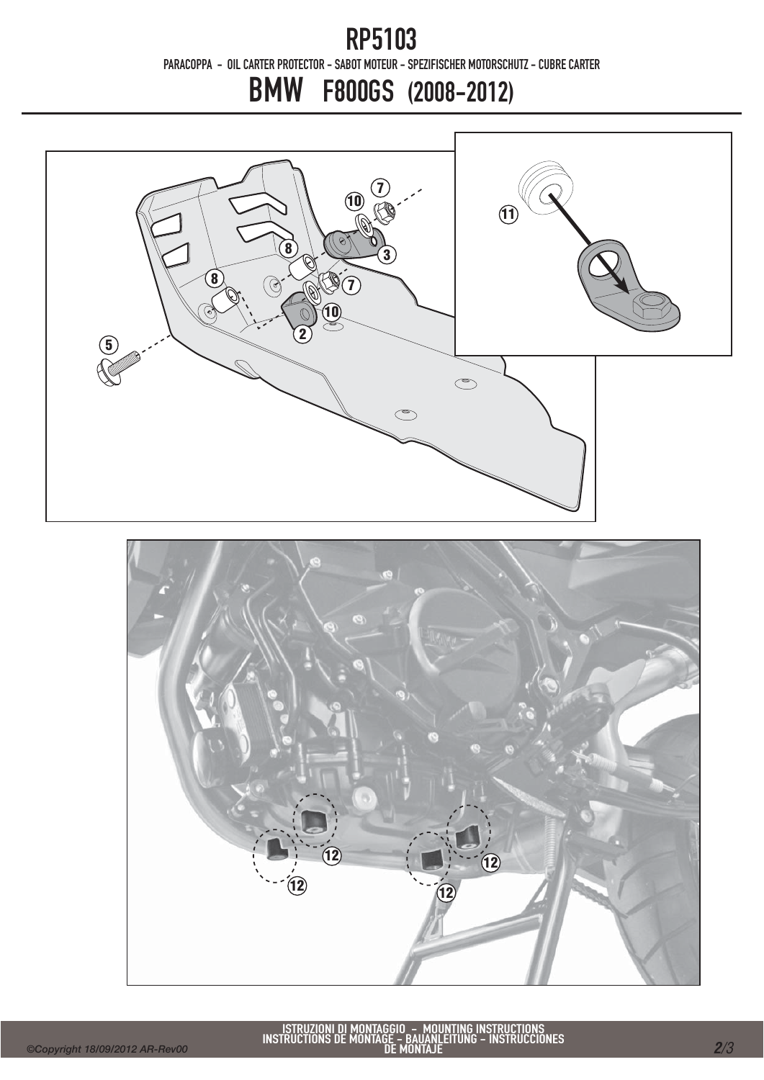### RP5103 PARACOPPA - OIL CARTER PROTECTOR - SABOT MOTEUR - SPEZIFISCHER MOTORSCHUTZ - CUBRE CARTER

# BMW F800GS (2008-2012)